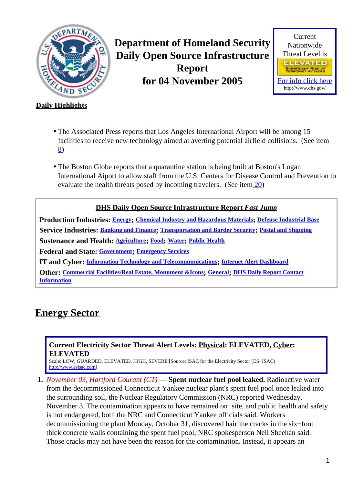<span id="page-0-1"></span>

**Department of Homeland Security Daily Open Source Infrastructure Report for 04 November 2005**



### **Daily Highlights**

- The Associated Press reports that Los Angeles International Airport will be among 15 facilities to receive new technology aimed at averting potential airfield collisions. (See item [8\)](#page-3-0)
- The Boston Globe reports that a quarantine station is being built at Boston's Logan International Aiport to allow staff from the U.S. Centers for Disease Control and Prevention to evaluate the health threats posed by incoming travelers. (See ite[m 20](#page-8-0))

### **DHS Daily Open Source Infrastructure Report** *Fast Jump*

**Production Industries: [Energy](#page-0-0); [Chemical Industry and Hazardous Materials](#page-1-0); [Defense Industrial Base](#page-1-1) Service Industries: [Banking and Finance](#page-1-2); [Transportation and Border Security](#page-3-1); [Postal and Shipping](#page-5-0) Sustenance and Health: [Agriculture](#page-5-1); [Food](#page-6-0); [Water](#page-7-0); [Public Health](#page-8-1) Federal and State: [Government](#page-9-0); [Emergency Services](#page-10-0) IT and Cyber: [Information Technology and Telecommunications](#page-11-0); [Internet Alert Dashboard](#page-13-0) Other: [Commercial Facilities/Real Estate, Monument &Icons](#page-14-0); [General](#page-14-1); [DHS Daily Report Contact](#page-15-0)**

# <span id="page-0-0"></span>**Energy Sector**

**[Information](#page-15-0)**

### **Current Electricity Sector Threat Alert Levels: Physical: ELEVATED, Cyber: ELEVATED**

Scale: LOW, GUARDED, ELEVATED, HIGH, SEVERE [Source: ISAC for the Electricity Sector (ES−ISAC) − [http://www.esisac.com](http://esisac.com)]

**1.** *November 03, Hartford Courant (CT)* — **Spent nuclear fuel pool leaked.** Radioactive water from the decommissioned Connecticut Yankee nuclear plant's spent fuel pool once leaked into the surrounding soil, the Nuclear Regulatory Commission (NRC) reported Wednesday, November 3. The contamination appears to have remained on−site, and public health and safety is not endangered, both the NRC and Connecticut Yankee officials said. Workers decommissioning the plant Monday, October 31, discovered hairline cracks in the six−foot thick concrete walls containing the spent fuel pool, NRC spokesperson Neil Sheehan said. Those cracks may not have been the reason for the contamination. Instead, it appears an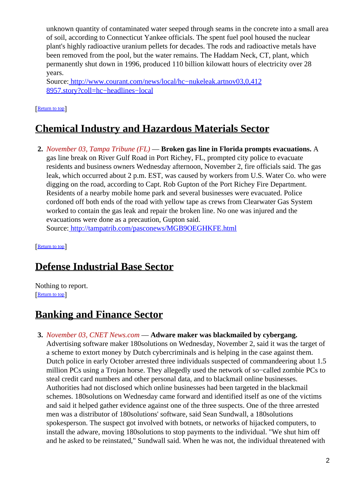unknown quantity of contaminated water seeped through seams in the concrete into a small area of soil, according to Connecticut Yankee officials. The spent fuel pool housed the nuclear plant's highly radioactive uranium pellets for decades. The rods and radioactive metals have been removed from the pool, but the water remains. The Haddam Neck, CT, plant, which permanently shut down in 1996, produced 110 billion kilowatt hours of electricity over 28 years.

Source[: http://www.courant.com/news/local/hc−nukeleak.artnov03,0,412](http://www.courant.com/news/local/hc-nukeleak.artnov03,0,4128957.story?coll=hc-headlines-local) [8957.story?coll=hc−headlines−local](http://www.courant.com/news/local/hc-nukeleak.artnov03,0,4128957.story?coll=hc-headlines-local)

[[Return to top](#page-0-1)]

# <span id="page-1-0"></span>**Chemical Industry and Hazardous Materials Sector**

**2.** *November 03, Tampa Tribune (FL)* — **Broken gas line in Florida prompts evacuations.** A gas line break on River Gulf Road in Port Richey, FL, prompted city police to evacuate residents and business owners Wednesday afternoon, November 2, fire officials said. The gas leak, which occurred about 2 p.m. EST, was caused by workers from U.S. Water Co. who were digging on the road, according to Capt. Rob Gupton of the Port Richey Fire Department. Residents of a nearby mobile home park and several businesses were evacuated. Police cordoned off both ends of the road with yellow tape as crews from Clearwater Gas System worked to contain the gas leak and repair the broken line. No one was injured and the evacuations were done as a precaution, Gupton said.

Source[: http://tampatrib.com/pasconews/MGB9OEGHKFE.html](http://tampatrib.com/pasconews/MGB9OEGHKFE.html)

[[Return to top](#page-0-1)]

# <span id="page-1-1"></span>**Defense Industrial Base Sector**

Nothing to report. [[Return to top](#page-0-1)]

# <span id="page-1-2"></span>**Banking and Finance Sector**

### **3.** *November 03, CNET News.com* — **Adware maker was blackmailed by cybergang.**

Advertising software maker 180solutions on Wednesday, November 2, said it was the target of a scheme to extort money by Dutch cybercriminals and is helping in the case against them. Dutch police in early October arrested three individuals suspected of commandeering about 1.5 million PCs using a Trojan horse. They allegedly used the network of so−called zombie PCs to steal credit card numbers and other personal data, and to blackmail online businesses. Authorities had not disclosed which online businesses had been targeted in the blackmail schemes. 180solutions on Wednesday came forward and identified itself as one of the victims and said it helped gather evidence against one of the three suspects. One of the three arrested men was a distributor of 180solutions' software, said Sean Sundwall, a 180solutions spokesperson. The suspect got involved with botnets, or networks of hijacked computers, to install the adware, moving 180solutions to stop payments to the individual. "We shut him off and he asked to be reinstated," Sundwall said. When he was not, the individual threatened with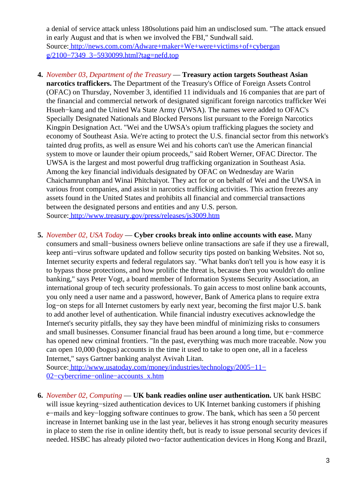a denial of service attack unless 180solutions paid him an undisclosed sum. "The attack ensued in early August and that is when we involved the FBI," Sundwall said. Source[: http://news.com.com/Adware+maker+We+were+victims+of+cybergan](http://news.com.com/Adware+maker+We+were+victims+of+cybergang/2100-7349_3-5930099.html?tag=nefd.top) [g/2100−7349\\_3−5930099.html?tag=nefd.top](http://news.com.com/Adware+maker+We+were+victims+of+cybergang/2100-7349_3-5930099.html?tag=nefd.top)

- **4.** *November 03, Department of the Treasury* — **Treasury action targets Southeast Asian narcotics traffickers.** The Department of the Treasury's Office of Foreign Assets Control (OFAC) on Thursday, November 3, identified 11 individuals and 16 companies that are part of the financial and commercial network of designated significant foreign narcotics trafficker Wei Hsueh−kang and the United Wa State Army (UWSA). The names were added to OFAC's Specially Designated Nationals and Blocked Persons list pursuant to the Foreign Narcotics Kingpin Designation Act. "Wei and the UWSA's opium trafficking plagues the society and economy of Southeast Asia. We're acting to protect the U.S. financial sector from this network's tainted drug profits, as well as ensure Wei and his cohorts can't use the American financial system to move or launder their opium proceeds," said Robert Werner, OFAC Director. The UWSA is the largest and most powerful drug trafficking organization in Southeast Asia. Among the key financial individuals designated by OFAC on Wednesday are Warin Chaichamrunphan and Winai Phitchaiyot. They act for or on behalf of Wei and the UWSA in various front companies, and assist in narcotics trafficking activities. This action freezes any assets found in the United States and prohibits all financial and commercial transactions between the designated persons and entities and any U.S. person. Source[: http://www.treasury.gov/press/releases/js3009.htm](http://www.treasury.gov/press/releases/js3009.htm)
- **5.** *November 02, USA Today* — **Cyber crooks break into online accounts with ease.** Many consumers and small−business owners believe online transactions are safe if they use a firewall, keep anti−virus software updated and follow security tips posted on banking Websites. Not so, Internet security experts and federal regulators say. "What banks don't tell you is how easy it is to bypass those protections, and how prolific the threat is, because then you wouldn't do online banking," says Peter Vogt, a board member of Information Systems Security Association, an international group of tech security professionals. To gain access to most online bank accounts, you only need a user name and a password, however, Bank of America plans to require extra log−on steps for all Internet customers by early next year, becoming the first major U.S. bank to add another level of authentication. While financial industry executives acknowledge the Internet's security pitfalls, they say they have been mindful of minimizing risks to consumers and small businesses. Consumer financial fraud has been around a long time, but e−commerce has opened new criminal frontiers. "In the past, everything was much more traceable. Now you can open 10,000 (bogus) accounts in the time it used to take to open one, all in a faceless Internet," says Gartner banking analyst Avivah Litan.

Source[: http://www.usatoday.com/money/industries/technology/2005−11−](http://www.usatoday.com/money/industries/technology/2005-11-02-cybercrime-online-accounts_x.htm) [02−cybercrime−online−accounts\\_x.htm](http://www.usatoday.com/money/industries/technology/2005-11-02-cybercrime-online-accounts_x.htm)

**6.** *November 02, Computing* — **UK bank readies online user authentication.** UK bank HSBC will issue keyring−sized authentication devices to UK Internet banking customers if phishing e−mails and key−logging software continues to grow. The bank, which has seen a 50 percent increase in Internet banking use in the last year, believes it has strong enough security measures in place to stem the rise in online identity theft, but is ready to issue personal security devices if needed. HSBC has already piloted two−factor authentication devices in Hong Kong and Brazil,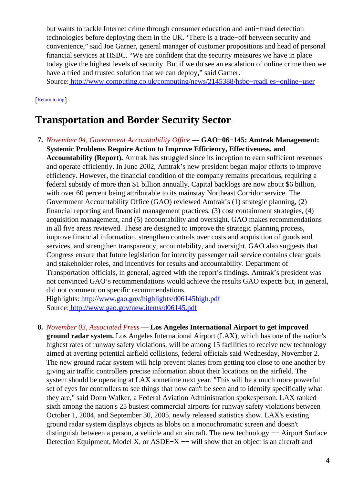but wants to tackle Internet crime through consumer education and anti−fraud detection technologies before deploying them in the UK. 'There is a trade−off between security and convenience," said Joe Garner, general manager of customer propositions and head of personal financial services at HSBC. "We are confident that the security measures we have in place today give the highest levels of security. But if we do see an escalation of online crime then we have a tried and trusted solution that we can deploy," said Garner.

Source[: http://www.computing.co.uk/computing/news/2145388/hsbc−readi es−online−user](http://www.computing.co.uk/computing/news/2145388/hsbc-readies-online-user)

### [[Return to top](#page-0-1)]

### <span id="page-3-1"></span>**Transportation and Border Security Sector**

**7.** *November 04, Government Accountability Office* — **GAO−06−145: Amtrak Management: Systemic Problems Require Action to Improve Efficiency, Effectiveness, and Accountability (Report).** Amtrak has struggled since its inception to earn sufficient revenues and operate efficiently. In June 2002, Amtrak's new president began major efforts to improve efficiency. However, the financial condition of the company remains precarious, requiring a federal subsidy of more than \$1 billion annually. Capital backlogs are now about \$6 billion, with over 60 percent being attributable to its mainstay Northeast Corridor service. The Government Accountability Office (GAO) reviewed Amtrak's (1) strategic planning, (2) financial reporting and financial management practices, (3) cost containment strategies, (4) acquisition management, and (5) accountability and oversight. GAO makes recommendations in all five areas reviewed. These are designed to improve the strategic planning process, improve financial information, strengthen controls over costs and acquisition of goods and services, and strengthen transparency, accountability, and oversight. GAO also suggests that Congress ensure that future legislation for intercity passenger rail service contains clear goals and stakeholder roles, and incentives for results and accountability. Department of Transportation officials, in general, agreed with the report's findings. Amtrak's president was not convinced GAO's recommendations would achieve the results GAO expects but, in general, did not comment on specific recommendations.

Highlights:<http://www.gao.gov/highlights/d06145high.pdf> Source[: http://www.gao.gov/new.items/d06145.pdf](http://www.gao.gov/new.items/d06145.pdf)

### <span id="page-3-0"></span>**8.** *November 03, Associated Press* — **Los Angeles International Airport to get improved**

**ground radar system.** Los Angeles International Airport (LAX), which has one of the nation's highest rates of runway safety violations, will be among 15 facilities to receive new technology aimed at averting potential airfield collisions, federal officials said Wednesday, November 2. The new ground radar system will help prevent planes from getting too close to one another by giving air traffic controllers precise information about their locations on the airfield. The system should be operating at LAX sometime next year. "This will be a much more powerful set of eyes for controllers to see things that now can't be seen and to identify specifically what they are," said Donn Walker, a Federal Aviation Administration spokesperson. LAX ranked sixth among the nation's 25 busiest commercial airports for runway safety violations between October 1, 2004, and September 30, 2005, newly released statistics show. LAX's existing ground radar system displays objects as blobs on a monochromatic screen and doesn't distinguish between a person, a vehicle and an aircraft. The new technology −− Airport Surface Detection Equipment, Model X, or ASDE−X –− will show that an object is an aircraft and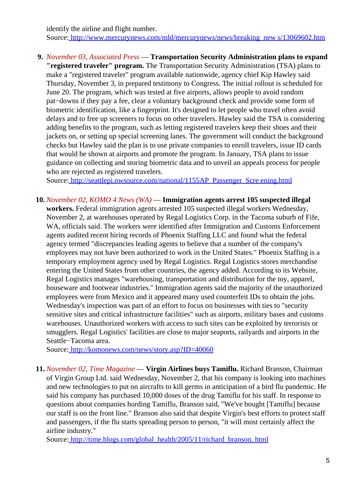identify the airline and flight number. Source[: http://www.mercurynews.com/mld/mercurynews/news/breaking\\_new s/13069602.htm](http://www.mercurynews.com/mld/mercurynews/news/breaking_news/13069602.htm)

**9.** *November 03, Associated Press* — **Transportation Security Administration plans to expand "registered traveler" program.** The Transportation Security Administration (TSA) plans to make a "registered traveler" program available nationwide, agency chief Kip Hawley said Thursday, November 3, in prepared testimony to Congress. The initial rollout is scheduled for June 20. The program, which was tested at five airports, allows people to avoid random pat−downs if they pay a fee, clear a voluntary background check and provide some form of biometric identification, like a fingerprint. It's designed to let people who travel often avoid delays and to free up screeners to focus on other travelers. Hawley said the TSA is considering adding benefits to the program, such as letting registered travelers keep their shoes and their jackets on, or setting up special screening lanes. The government will conduct the background checks but Hawley said the plan is to use private companies to enroll travelers, issue ID cards that would be shown at airports and promote the program. In January, TSA plans to issue guidance on collecting and storing biometric data and to unveil an appeals process for people who are rejected as registered travelers.

Source[: http://seattlepi.nwsource.com/national/1155AP\\_Passenger\\_Scre ening.html](http://seattlepi.nwsource.com/national/1155AP_Passenger_Screening.html)

**10.** *November 02, KOMO 4 News (WA)* — **Immigration agents arrest 105 suspected illegal workers.** Federal immigration agents arrested 105 suspected illegal workers Wednesday, November 2, at warehouses operated by Regal Logistics Corp. in the Tacoma suburb of Fife, WA, officials said. The workers were identified after Immigration and Customs Enforcement agents audited recent hiring records of Phoenix Staffing LLC and found what the federal agency termed "discrepancies leading agents to believe that a number of the company's employees may not have been authorized to work in the United States." Phoenix Staffing is a temporary employment agency used by Regal Logistics. Regal Logistics stores merchandise entering the United States from other countries, the agency added. According to its Website, Regal Logistics manages "warehousing, transportation and distribution for the toy, apparel, houseware and footwear industries." Immigration agents said the majority of the unauthorized employees were from Mexico and it appeared many used counterfeit IDs to obtain the jobs. Wednesday's inspection was part of an effort to focus on businesses with ties to "security sensitive sites and critical infrastructure facilities" such as airports, military bases and customs warehouses. Unauthorized workers with access to such sites can be exploited by terrorists or smugglers. Regal Logistics' facilities are close to major seaports, railyards and airports in the Seattle−Tacoma area.

Source[: http://komonews.com/news/story.asp?ID=40060](http://komonews.com/news/story.asp?ID=40060)

**11.** *November 02, Time Magazine* — **Virgin Airlines buys Tamiflu.** Richard Branson, Chairman of Virgin Group Ltd. said Wednesday, November 2, that his company is looking into machines and new technologies to put on aircrafts to kill germs in anticipation of a bird flu pandemic. He said his company has purchased 10,000 doses of the drug Tamiflu for his staff. In response to questions about companies hording Tamiflu, Branson said, "We've bought [Tamiflu] because our staff is on the front line." Branson also said that despite Virgin's best efforts to protect staff and passengers, if the flu starts spreading person to person, "it will most certainly affect the airline industry."

Source[: http://time.blogs.com/global\\_health/2005/11/richard\\_branson. html](http://time.blogs.com/global_health/2005/11/richard_branson.html)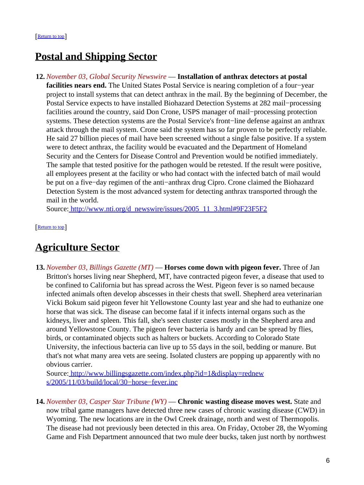## <span id="page-5-0"></span>**Postal and Shipping Sector**

**12.** *November 03, Global Security Newswire* — **Installation of anthrax detectors at postal facilities nears end.** The United States Postal Service is nearing completion of a four−year project to install systems that can detect anthrax in the mail. By the beginning of December, the Postal Service expects to have installed Biohazard Detection Systems at 282 mail−processing facilities around the country, said Don Crone, USPS manager of mail−processing protection systems. These detection systems are the Postal Service's front−line defense against an anthrax attack through the mail system. Crone said the system has so far proven to be perfectly reliable. He said 27 billion pieces of mail have been screened without a single false positive. If a system were to detect anthrax, the facility would be evacuated and the Department of Homeland Security and the Centers for Disease Control and Prevention would be notified immediately. The sample that tested positive for the pathogen would be retested. If the result were positive, all employees present at the facility or who had contact with the infected batch of mail would be put on a five−day regimen of the anti−anthrax drug Cipro. Crone claimed the Biohazard Detection System is the most advanced system for detecting anthrax transported through the mail in the world.

Source[: http://www.nti.org/d\\_newswire/issues/2005\\_11\\_3.html#9F23F5F2](http://www.nti.org/d_newswire/issues/2005_11_3.html#9F23F5F2)

[[Return to top](#page-0-1)]

### <span id="page-5-1"></span>**Agriculture Sector**

**13.** *November 03, Billings Gazette (MT)* — **Horses come down with pigeon fever.** Three of Jan Britton's horses living near Shepherd, MT, have contracted pigeon fever, a disease that used to be confined to California but has spread across the West. Pigeon fever is so named because infected animals often develop abscesses in their chests that swell. Shepherd area veterinarian Vicki Bokum said pigeon fever hit Yellowstone County last year and she had to euthanize one horse that was sick. The disease can become fatal if it infects internal organs such as the kidneys, liver and spleen. This fall, she's seen cluster cases mostly in the Shepherd area and around Yellowstone County. The pigeon fever bacteria is hardy and can be spread by flies, birds, or contaminated objects such as halters or buckets. According to Colorado State University, the infectious bacteria can live up to 55 days in the soil, bedding or manure. But that's not what many area vets are seeing. Isolated clusters are popping up apparently with no obvious carrier.

Source[: http://www.billingsgazette.com/index.php?id=1&display=rednew](http://www.billingsgazette.com/index.php?id=1&display=rednews/2005/11/03/build/local/30-horse-fever.inc) [s/2005/11/03/build/local/30−horse−fever.inc](http://www.billingsgazette.com/index.php?id=1&display=rednews/2005/11/03/build/local/30-horse-fever.inc)

**14.** *November 03, Casper Star Tribune (WY)* — **Chronic wasting disease moves west.** State and now tribal game managers have detected three new cases of chronic wasting disease (CWD) in Wyoming. The new locations are in the Owl Creek drainage, north and west of Thermopolis. The disease had not previously been detected in this area. On Friday, October 28, the Wyoming Game and Fish Department announced that two mule deer bucks, taken just north by northwest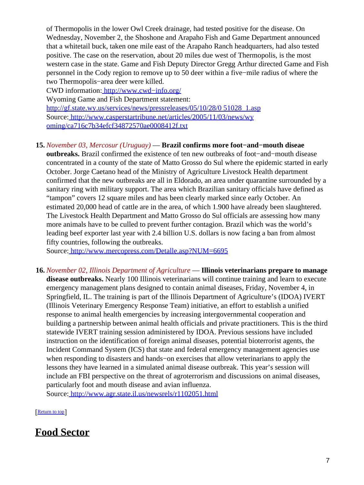of Thermopolis in the lower Owl Creek drainage, had tested positive for the disease. On Wednesday, November 2, the Shoshone and Arapaho Fish and Game Department announced that a whitetail buck, taken one mile east of the Arapaho Ranch headquarters, had also tested positive. The case on the reservation, about 20 miles due west of Thermopolis, is the most western case in the state. Game and Fish Deputy Director Gregg Arthur directed Game and Fish personnel in the Cody region to remove up to 50 deer within a five−mile radius of where the two Thermopolis−area deer were killed.

CWD information: [http://www.cwd−info.org/](http://www.cwd-info.org/) Wyoming Game and Fish Department statement: [http://gf.state.wy.us/services/news/pressreleases/05/10/28/0 51028\\_1.asp](http://gf.state.wy.us/services/news/pressreleases/05/10/28/051028_1.asp) Source[: http://www.casperstartribune.net/articles/2005/11/03/news/wy](http://www.casperstartribune.net/articles/2005/11/03/news/wyoming/ca716c7b34efcf34872570ae0008412f.txt) [oming/ca716c7b34efcf34872570ae0008412f.txt](http://www.casperstartribune.net/articles/2005/11/03/news/wyoming/ca716c7b34efcf34872570ae0008412f.txt)

### **15.** *November 03, Mercosur (Uruguay)* — **Brazil confirms more foot−and−mouth diseae**

**outbreaks.** Brazil confirmed the existence of ten new outbreaks of foot−and−mouth disease concentrated in a county of the state of Matto Grosso do Sul where the epidemic started in early October. Jorge Caetano head of the Ministry of Agriculture Livestock Health department confirmed that the new outbreaks are all in Eldorado, an area under quarantine surrounded by a sanitary ring with military support. The area which Brazilian sanitary officials have defined as "tampon" covers 12 square miles and has been clearly marked since early October. An estimated 20,000 head of cattle are in the area, of which 1.900 have already been slaughtered. The Livestock Health Department and Matto Grosso do Sul officials are assessing how many more animals have to be culled to prevent further contagion. Brazil which was the world's leading beef exporter last year with 2.4 billion U.S. dollars is now facing a ban from almost fifty countries, following the outbreaks.

Source[: http://www.mercopress.com/Detalle.asp?NUM=6695](http://www.mercopress.com/Detalle.asp?NUM=6695)

**16.** *November 02, Illinois Department of Agriculture* — **Illinois veterinarians prepare to manage disease outbreaks.** Nearly 100 Illinois veterinarians will continue training and learn to execute emergency management plans designed to contain animal diseases, Friday, November 4, in Springfield, IL. The training is part of the Illinois Department of Agriculture's (IDOA) IVERT (Illinois Veterinary Emergency Response Team) initiative, an effort to establish a unified response to animal health emergencies by increasing intergovernmental cooperation and building a partnership between animal health officials and private practitioners. This is the third statewide IVERT training session administered by IDOA. Previous sessions have included instruction on the identification of foreign animal diseases, potential bioterrorist agents, the Incident Command System (ICS) that state and federal emergency management agencies use when responding to disasters and hands−on exercises that allow veterinarians to apply the lessons they have learned in a simulated animal disease outbreak. This year's session will include an FBI perspective on the threat of agroterrorism and discussions on animal diseases, particularly foot and mouth disease and avian influenza.

Source[: http://www.agr.state.il.us/newsrels/r1102051.html](http://www.agr.state.il.us/newsrels/r1102051.html)

[[Return to top](#page-0-1)]

# <span id="page-6-0"></span>**Food Sector**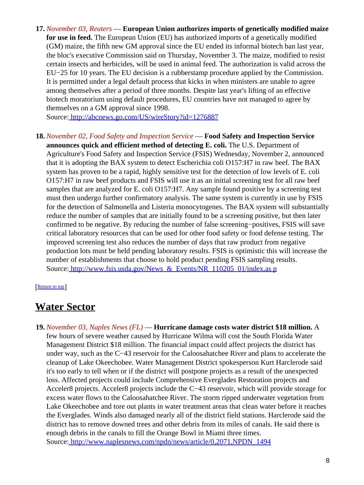**17.** *November 03, Reuters* — **European Union authorizes imports of genetically modified maize for use in feed.** The European Union (EU) has authorized imports of a genetically modified (GM) maize, the fifth new GM approval since the EU ended its informal biotech ban last year, the bloc's executive Commission said on Thursday, November 3. The maize, modified to resist certain insects and herbicides, will be used in animal feed. The authorization is valid across the EU−25 for 10 years. The EU decision is a rubberstamp procedure applied by the Commission. It is permitted under a legal default process that kicks in when ministers are unable to agree among themselves after a period of three months. Despite last year's lifting of an effective biotech moratorium using default procedures, EU countries have not managed to agree by themselves on a GM approval since 1998.

Source[: http://abcnews.go.com/US/wireStory?id=1276887](http://abcnews.go.com/US/wireStory?id=1276887)

**18.** *November 02, Food Safety and Inspection Service* — **Food Safety and Inspection Service announces quick and efficient method of detecting E. coli.** The U.S. Department of Agriculture's Food Safety and Inspection Service (FSIS) Wednesday, November 2, announced that it is adopting the BAX system to detect Escherichia coli O157:H7 in raw beef. The BAX system has proven to be a rapid, highly sensitive test for the detection of low levels of E. coli O157:H7 in raw beef products and FSIS will use it as an initial screening test for all raw beef samples that are analyzed for E. coli O157:H7. Any sample found positive by a screening test must then undergo further confirmatory analysis. The same system is currently in use by FSIS for the detection of Salmonella and Listeria monocytogenes. The BAX system will substantially reduce the number of samples that are initially found to be a screening positive, but then later confirmed to be negative. By reducing the number of false screening−positives, FSIS will save critical laboratory resources that can be used for other food safety or food defense testing. The improved screening test also reduces the number of days that raw product from negative production lots must be held pending laboratory results. FSIS is optimistic this will increase the number of establishments that choose to hold product pending FSIS sampling results. Source: http://www.fsis.usda.gov/News & Events/NR 110205 01/index.as p

### [[Return to top](#page-0-1)]

### <span id="page-7-0"></span>**Water Sector**

**19.** *November 03, Naples News (FL)* — **Hurricane damage costs water district \$18 million.** A few hours of severe weather caused by Hurricane Wilma will cost the South Florida Water Management District \$18 million. The financial impact could affect projects the district has under way, such as the C−43 reservoir for the Caloosahatchee River and plans to accelerate the cleanup of Lake Okeechobee. Water Management District spokesperson Kurt Harclerode said it's too early to tell when or if the district will postpone projects as a result of the unexpected loss. Affected projects could include Comprehensive Everglades Restoration projects and Acceler8 projects. Acceler8 projects include the C−43 reservoir, which will provide storage for excess water flows to the Caloosahatchee River. The storm ripped underwater vegetation from Lake Okeechobee and tore out plants in water treatment areas that clean water before it reaches the Everglades. Winds also damaged nearly all of the district field stations. Harclerode said the district has to remove downed trees and other debris from its miles of canals. He said there is enough debris in the canals to fill the Orange Bowl in Miami three times. Source[: http://www.naplesnews.com/npdn/news/article/0,2071,NPDN\\_1494](http://www.naplesnews.com/npdn/news/article/0,2071,NPDN_14940_4207501,00.html)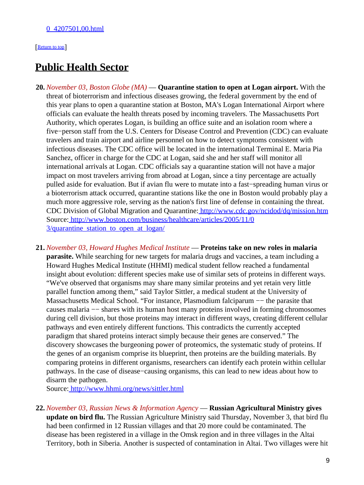#### [[Return to top](#page-0-1)]

### <span id="page-8-1"></span>**Public Health Sector**

- <span id="page-8-0"></span>**20.** *November 03, Boston Globe (MA)* — **Quarantine station to open at Logan airport.** With the threat of bioterrorism and infectious diseases growing, the federal government by the end of this year plans to open a quarantine station at Boston, MA's Logan International Airport where officials can evaluate the health threats posed by incoming travelers. The Massachusetts Port Authority, which operates Logan, is building an office suite and an isolation room where a five−person staff from the U.S. Centers for Disease Control and Prevention (CDC) can evaluate travelers and train airport and airline personnel on how to detect symptoms consistent with infectious diseases. The CDC office will be located in the international Terminal E. Maria Pia Sanchez, officer in charge for the CDC at Logan, said she and her staff will monitor all international arrivals at Logan. CDC officials say a quarantine station will not have a major impact on most travelers arriving from abroad at Logan, since a tiny percentage are actually pulled aside for evaluation. But if avian flu were to mutate into a fast−spreading human virus or a bioterrorism attack occurred, quarantine stations like the one in Boston would probably play a much more aggressive role, serving as the nation's first line of defense in containing the threat. CDC Division of Global Migration and Quarantine[: http://www.cdc.gov/ncidod/dq/mission.htm](http://www.cdc.gov/ncidod/dq/mission.htm) Source[: http://www.boston.com/business/healthcare/articles/2005/11/0](http://www.boston.com/business/healthcare/articles/2005/11/03/quarantine_station_to_open_at_logan/) 3/quarantine station to open at logan/
- **21.** *November 03, Howard Hughes Medical Institute* — **Proteins take on new roles in malaria parasite.** While searching for new targets for malaria drugs and vaccines, a team including a Howard Hughes Medical Institute (HHMI) medical student fellow reached a fundamental insight about evolution: different species make use of similar sets of proteins in different ways. "We've observed that organisms may share many similar proteins and yet retain very little parallel function among them," said Taylor Sittler, a medical student at the University of Massachusetts Medical School. "For instance, Plasmodium falciparum −− the parasite that causes malaria −− shares with its human host many proteins involved in forming chromosomes during cell division, but those proteins may interact in different ways, creating different cellular pathways and even entirely different functions. This contradicts the currently accepted paradigm that shared proteins interact simply because their genes are conserved." The discovery showcases the burgeoning power of proteomics, the systematic study of proteins. If the genes of an organism comprise its blueprint, then proteins are the building materials. By comparing proteins in different organisms, researchers can identify each protein within cellular pathways. In the case of disease−causing organisms, this can lead to new ideas about how to disarm the pathogen.

Source[: http://www.hhmi.org/news/sittler.html](http://www.hhmi.org/news/sittler.html)

**22.** *November 03, Russian News & Information Agency* — **Russian Agricultural Ministry gives update on bird flu.** The Russian Agriculture Ministry said Thursday, November 3, that bird flu had been confirmed in 12 Russian villages and that 20 more could be contaminated. The disease has been registered in a village in the Omsk region and in three villages in the Altai Territory, both in Siberia. Another is suspected of contamination in Altai. Two villages were hit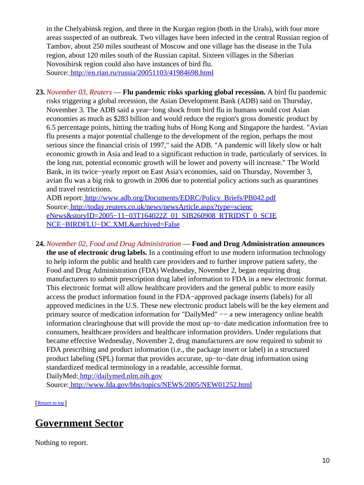in the Chelyabinsk region, and three in the Kurgan region (both in the Urals), with four more areas suspected of an outbreak. Two villages have been infected in the central Russian region of Tambov, about 250 miles southeast of Moscow and one village has the disease in the Tula region, about 120 miles south of the Russian capital. Sixteen villages in the Siberian Novosibirsk region could also have instances of bird flu. Source[: http://en.rian.ru/russia/20051103/41984698.html](http://en.rian.ru/russia/20051103/41984698.html)

**23.** *November 03, Reuters* — **Flu pandemic risks sparking global recession.** A bird flu pandemic risks triggering a global recession, the Asian Development Bank (ADB) said on Thursday, November 3. The ADB said a year−long shock from bird flu in humans would cost Asian economies as much as \$283 billion and would reduce the region's gross domestic product by 6.5 percentage points, hitting the trading hubs of Hong Kong and Singapore the hardest. "Avian flu presents a major potential challenge to the development of the region, perhaps the most serious since the financial crisis of 1997," said the ADB. "A pandemic will likely slow or halt economic growth in Asia and lead to a significant reduction in trade, particularly of services. In the long run, potential economic growth will be lower and poverty will increase." The World Bank, in its twice−yearly report on East Asia's economies, said on Thursday, November 3, avian flu was a big risk to growth in 2006 due to potential policy actions such as quarantines and travel restrictions.

ADB report[: http://www.adb.org/Documents/EDRC/Policy\\_Briefs/PB042.pdf](http://www.adb.org/Documents/EDRC/Policy_Briefs/PB042.pdf) Source[: http://today.reuters.co.uk/news/newsArticle.aspx?type=scienc](http://today.reuters.co.uk/news/newsArticle.aspx?type=scienceNews&storyID=2005-11-03T164022Z_01_SIB260908_RTRIDST_0_SCIENCE-BIRDFLU-DC.XML&archived=False) [eNews&storyID=2005−11−03T164022Z\\_01\\_SIB260908\\_RTRIDST\\_0\\_SCIE](http://today.reuters.co.uk/news/newsArticle.aspx?type=scienceNews&storyID=2005-11-03T164022Z_01_SIB260908_RTRIDST_0_SCIENCE-BIRDFLU-DC.XML&archived=False) [NCE−BIRDFLU−DC.XML&archived=False](http://today.reuters.co.uk/news/newsArticle.aspx?type=scienceNews&storyID=2005-11-03T164022Z_01_SIB260908_RTRIDST_0_SCIENCE-BIRDFLU-DC.XML&archived=False)

**24.** *November 02, Food and Drug Administration* — **Food and Drug Administration announces the use of electronic drug labels.** In a continuing effort to use modern information technology to help inform the public and health care providers and to further improve patient safety, the Food and Drug Administration (FDA) Wednesday, November 2, began requiring drug manufacturers to submit prescription drug label information to FDA in a new electronic format. This electronic format will allow healthcare providers and the general public to more easily access the product information found in the FDA−approved package inserts (labels) for all approved medicines in the U.S. These new electronic product labels will be the key element and primary source of medication information for "DailyMed" −− a new interagency online health information clearinghouse that will provide the most up−to−date medication information free to consumers, healthcare providers and healthcare information providers. Under regulations that became effective Wednesday, November 2, drug manufacturers are now required to submit to FDA prescribing and product information (i.e., the package insert or label) in a structured product labeling (SPL) format that provides accurate, up−to−date drug information using standardized medical terminology in a readable, accessible format. DailyMed:<http://dailymed.nlm.nih.gov>

Source[: http://www.fda.gov/bbs/topics/NEWS/2005/NEW01252.html](http://www.fda.gov/bbs/topics/NEWS/2005/NEW01252.html)

[[Return to top](#page-0-1)]

# <span id="page-9-0"></span>**Government Sector**

Nothing to report.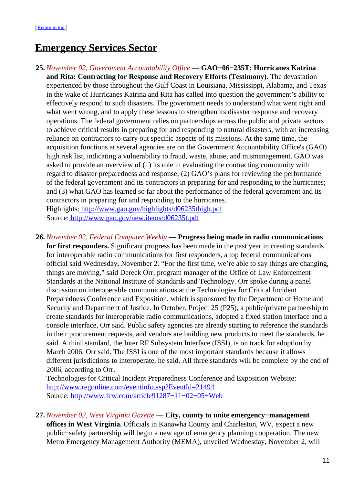# <span id="page-10-0"></span>**Emergency Services Sector**

- **25.** *November 02, Government Accountability Office* — **GAO−06−235T: Hurricanes Katrina and Rita: Contracting for Response and Recovery Efforts (Testimony).** The devastation experienced by those throughout the Gulf Coast in Louisiana, Mississippi, Alabama, and Texas in the wake of Hurricanes Katrina and Rita has called into question the government's ability to effectively respond to such disasters. The government needs to understand what went right and what went wrong, and to apply these lessons to strengthen its disaster response and recovery operations. The federal government relies on partnerships across the public and private sectors to achieve critical results in preparing for and responding to natural disasters, with an increasing reliance on contractors to carry out specific aspects of its missions. At the same time, the acquisition functions at several agencies are on the Government Accountability Office's (GAO) high risk list, indicating a vulnerability to fraud, waste, abuse, and mismanagement. GAO was asked to provide an overview of (1) its role in evaluating the contracting community with regard to disaster preparedness and response; (2) GAO's plans for reviewing the performance of the federal government and its contractors in preparing for and responding to the hurricanes; and (3) what GAO has learned so far about the performance of the federal government and its contractors in preparing for and responding to the hurricanes. Highlights:<http://www.gao.gov/highlights/d06235thigh.pdf> Source[: http://www.gao.gov/new.items/d06235t.pdf](http://www.gao.gov/new.items/d06235t.pdf)
- **26.** *November 02, Federal Computer Weekly* — **Progress being made in radio communications for first responders.** Significant progress has been made in the past year in creating standards for interoperable radio communications for first responders, a top federal communications official said Wednesday, November 2. "For the first time, we're able to say things are changing, things are moving," said Dereck Orr, program manager of the Office of Law Enforcement Standards at the National Institute of Standards and Technology. Orr spoke during a panel discussion on interoperable communications at the Technologies for Critical Incident Preparedness Conference and Exposition, which is sponsored by the Department of Homeland Security and Department of Justice. In October, Project 25 (P25), a public/private partnership to create standards for interoperable radio communications, adopted a fixed station interface and a console interface, Orr said. Public safety agencies are already starting to reference the standards in their procurement requests, and vendors are building new products to meet the standards, he said. A third standard, the Inter RF Subsystem Interface (ISSI), is on track for adoption by March 2006, Orr said. The ISSI is one of the most important standards because it allows different jurisdictions to interoperate, he said. All three standards will be complete by the end of 2006, according to Orr.

Technologies for Critical Incident Preparedness Conference and Exposition Website: <http://www.regonline.com/eventinfo.asp?EventId=21494> Source[: http://www.fcw.com/article91287−11−02−05−Web](http://www.fcw.com/article91287-11-02-05-Web)

**27.** *November 02, West Virginia Gazette* — **City, county to unite emergency−management offices in West Virginia.** Officials in Kanawha County and Charleston, WV, expect a new public−safety partnership will begin a new age of emergency planning cooperation. The new Metro Emergency Management Authority (MEMA), unveiled Wednesday, November 2, will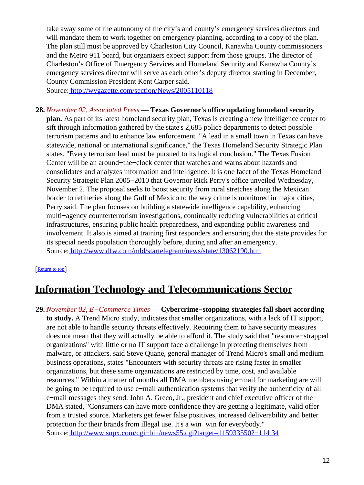take away some of the autonomy of the city's and county's emergency services directors and will mandate them to work together on emergency planning, according to a copy of the plan. The plan still must be approved by Charleston City Council, Kanawha County commissioners and the Metro 911 board, but organizers expect support from those groups. The director of Charleston's Office of Emergency Services and Homeland Security and Kanawha County's emergency services director will serve as each other's deputy director starting in December, County Commission President Kent Carper said.

Source[: http://wvgazette.com/section/News/2005110118](http://wvgazette.com/section/News/2005110118)

**28.** *November 02, Associated Press* — **Texas Governor's office updating homeland security plan.** As part of its latest homeland security plan, Texas is creating a new intelligence center to sift through information gathered by the state's 2,685 police departments to detect possible terrorism patterns and to enhance law enforcement. "A lead in a small town in Texas can have statewide, national or international significance," the Texas Homeland Security Strategic Plan states. "Every terrorism lead must be pursued to its logical conclusion." The Texas Fusion Center will be an around−the−clock center that watches and warns about hazards and consolidates and analyzes information and intelligence. It is one facet of the Texas Homeland Security Strategic Plan 2005−2010 that Governor Rick Perry's office unveiled Wednesday, November 2. The proposal seeks to boost security from rural stretches along the Mexican border to refineries along the Gulf of Mexico to the way crime is monitored in major cities, Perry said. The plan focuses on building a statewide intelligence capability, enhancing multi−agency counterterrorism investigations, continually reducing vulnerabilities at critical infrastructures, ensuring public health preparedness, and expanding public awareness and involvement. It also is aimed at training first responders and ensuring that the state provides for its special needs population thoroughly before, during and after an emergency. Source[: http://www.dfw.com/mld/startelegram/news/state/13062190.htm](http://www.dfw.com/mld/startelegram/news/state/13062190.htm)

### [[Return to top](#page-0-1)]

# <span id="page-11-0"></span>**Information Technology and Telecommunications Sector**

**29.** *November 02, E−Commerce Times* — **Cybercrime−stopping strategies fall short according to study.** A Trend Micro study, indicates that smaller organizations, with a lack of IT support, are not able to handle security threats effectively. Requiring them to have security measures does not mean that they will actually be able to afford it. The study said that "resource−strapped organizations" with little or no IT support face a challenge in protecting themselves from malware, or attackers. said Steve Quane, general manager of Trend Micro's small and medium business operations, states "Encounters with security threats are rising faster in smaller organizations, but these same organizations are restricted by time, cost, and available resources." Within a matter of months all DMA members using e−mail for marketing are will be going to be required to use e−mail authentication systems that verify the authenticity of all e−mail messages they send. John A. Greco, Jr., president and chief executive officer of the DMA stated, "Consumers can have more confidence they are getting a legitimate, valid offer from a trusted source. Marketers get fewer false positives, increased deliverability and better protection for their brands from illegal use. It's a win−win for everybody." Source[: http://www.snpx.com/cgi−bin/news55.cgi?target=115933550?−114 34](http://www.snpx.com/cgi-bin/news55.cgi?target=115933550?-11434)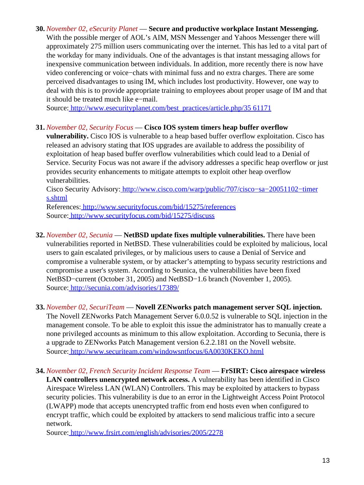### **30.** *November 02, eSecurity Planet* — **Secure and productive workplace Instant Messenging.**

With the possible merger of AOL's AIM, MSN Messenger and Yahoos Messenger there will approximately 275 million users communicating over the internet. This has led to a vital part of the workday for many individuals. One of the advantages is that instant messaging allows for inexpensive communication between individuals. In addition, more recently there is now have video conferencing or voice−chats with minimal fuss and no extra charges. There are some perceived disadvantages to using IM, which includes lost productivity. However, one way to deal with this is to provide appropriate training to employees about proper usage of IM and that it should be treated much like e−mail.

Source[: http://www.esecurityplanet.com/best\\_practices/article.php/35 61171](http://www.esecurityplanet.com/best_practices/article.php/3561171)

### **31.** *November 02, Security Focus* — **Cisco IOS system timers heap buffer overflow**

**vulnerability.** Cisco IOS is vulnerable to a heap based buffer overflow exploitation. Cisco has released an advisory stating that IOS upgrades are available to address the possibility of exploitation of heap based buffer overflow vulnerabilities which could lead to a Denial of Service. Security Focus was not aware if the advisory addresses a specific heap overflow or just provides security enhancements to mitigate attempts to exploit other heap overflow vulnerabilities.

Cisco Security Advisory[: http://www.cisco.com/warp/public/707/cisco−sa−20051102−timer](http://www.cisco.com/warp/public/707/cisco-sa-20051102-timers.shtml) [s.shtml](http://www.cisco.com/warp/public/707/cisco-sa-20051102-timers.shtml)

References[: http://www.securityfocus.com/bid/15275/references](http://www.securityfocus.com/bid/15275/references) Source[: http://www.securityfocus.com/bid/15275/discuss](http://www.securityfocus.com/bid/15275/discuss)

**32.** *November 02, Secunia* — **NetBSD update fixes multiple vulnerabilities.** There have been vulnerabilities reported in NetBSD. These vulnerabilities could be exploited by malicious, local users to gain escalated privileges, or by malicious users to cause a Denial of Service and compromise a vulnerable system, or by attacker's attempting to bypass security restrictions and compromise a user's system. According to Seunica, the vulnerabilities have been fixed NetBSD−current (October 31, 2005) and NetBSD−1.6 branch (November 1, 2005). Source[: http://secunia.com/advisories/17389/](http://secunia.com/advisories/17389/)

### **33.** *November 02, SecuriTeam* — **Novell ZENworks patch management server SQL injection.**

The Novell ZENworks Patch Management Server 6.0.0.52 is vulnerable to SQL injection in the management console. To be able to exploit this issue the administrator has to manually create a none privileged accounts as minimum to this allow exploitation. According to Secunia, there is a upgrade to ZENworks Patch Management version 6.2.2.181 on the Novell website. Source[: http://www.securiteam.com/windowsntfocus/6A0030KEKO.html](http://www.securiteam.com/windowsntfocus/6A0030KEKO.html)

**34.** *November 02, French Security Incident Response Team* — **FrSIRT: Cisco airespace wireless LAN controllers unencrypted network access.** A vulnerability has been identified in Cisco Airespace Wireless LAN (WLAN) Controllers. This may be exploited by attackers to bypass security policies. This vulnerability is due to an error in the Lightweight Access Point Protocol (LWAPP) mode that accepts unencrypted traffic from end hosts even when configured to encrypt traffic, which could be exploited by attackers to send malicious traffic into a secure network.

Source[: http://www.frsirt.com/english/advisories/2005/2278](http://www.frsirt.com/english/advisories/2005/2278)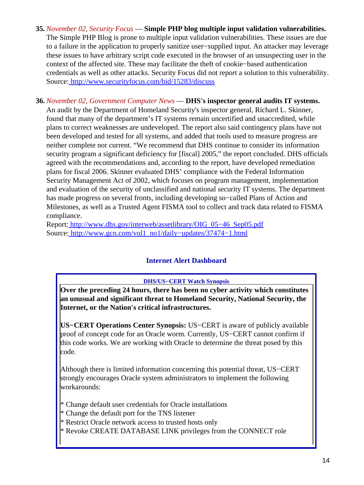- **35.** *November 02, Security Focus* — **Simple PHP blog multiple input validation vulnerabilities.** The Simple PHP Blog is prone to multiple input validation vulnerabilities. These issues are due to a failure in the application to properly sanitize user−supplied input. An attacker may leverage these issues to have arbitrary script code executed in the browser of an unsuspecting user in the context of the affected site. These may facilitate the theft of cookie−based authentication credentials as well as other attacks. Security Focus did not report a solution to this vulnerability. Source[: http://www.securityfocus.com/bid/15283/discuss](http://www.securityfocus.com/bid/15283/discuss)
- **36.** *November 02, Government Computer News* — **DHS's inspector general audits IT systems.** An audit by the Department of Homeland Security's inspector general, Richard L. Skinner, found that many of the department's IT systems remain uncertified and unaccredited, while plans to correct weaknesses are undeveloped. The report also said contingency plans have not been developed and tested for all systems, and added that tools used to measure progress are neither complete nor current. "We recommend that DHS continue to consider its information security program a significant deficiency for [fiscal] 2005," the report concluded. DHS officials agreed with the recommendations and, according to the report, have developed remediation plans for fiscal 2006. Skinner evaluated DHS' compliance with the Federal Information Security Management Act of 2002, which focuses on program management, implementation and evaluation of the security of unclassified and national security IT systems. The department has made progress on several fronts, including developing so−called Plans of Action and Milestones, as well as a Trusted Agent FISMA tool to collect and track data related to FISMA compliance.

<span id="page-13-0"></span>Report: [http://www.dhs.gov/interweb/assetlibrary/OIG\\_05−46\\_Sep05.pdf](http://www.dhs.gov/interweb/assetlibrary/OIG_05-46_Sep05.pdf) Source[: http://www.gcn.com/vol1\\_no1/daily−updates/37474−1.html](http://www.gcn.com/vol1_no1/daily-updates/37474-1.html)

### **Internet Alert Dashboard**

### **DHS/US−CERT Watch Synopsis**

**Over the preceding 24 hours, there has been no cyber activity which constitutes an unusual and significant threat to Homeland Security, National Security, the Internet, or the Nation's critical infrastructures.**

**US−CERT Operations Center Synopsis:** US−CERT is aware of publicly available proof of concept code for an Oracle worm. Currently, US−CERT cannot confirm if this code works. We are working with Oracle to determine the threat posed by this code.

Although there is limited information concerning this potential threat, US−CERT strongly encourages Oracle system administrators to implement the following workarounds:

- \* Change default user credentials for Oracle installations
- \* Change the default port for the TNS listener
- \* Restrict Oracle network access to trusted hosts only
- \* Revoke CREATE DATABASE LINK privileges from the CONNECT role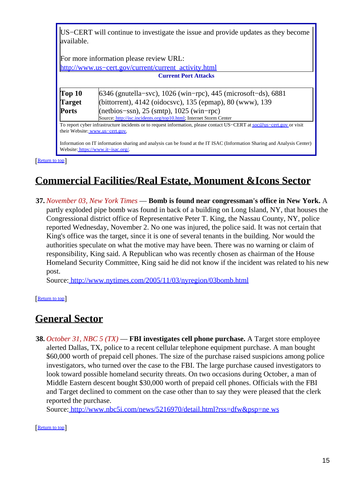US−CERT will continue to investigate the issue and provide updates as they become available.

For more information please review URL: http://www.us–cert.gov/current/current\_activity.html **Current Port Attacks**

| Top 10       | $6346$ (gnutella–svc), 1026 (win–rpc), 445 (microsoft–ds), 6881                                                          |  |
|--------------|--------------------------------------------------------------------------------------------------------------------------|--|
| Target       | (bittorrent), 4142 (oidocsvc), 135 (epmap), 80 (www), 139                                                                |  |
| <b>Ports</b> | $(\text{net bios}-ssn), 25 \text{ (smtp)}, 1025 \text{ (win-pro)}$                                                       |  |
|              | Source: http://isc.incidents.org/top10.html; Internet Storm Center                                                       |  |
|              | To report cyber infrastructure incidents or to request information, please contact US-CERT at soc@us-cert.gov or visit   |  |
|              | their Website: www.us-cert.gov.                                                                                          |  |
|              |                                                                                                                          |  |
|              | Information on IT information sharing and analysis can be found at the IT ISAC (Information Sharing and Analysis Center) |  |
|              | Website: https://www.it-isac.org/                                                                                        |  |

[[Return to top](#page-0-1)]

# <span id="page-14-0"></span>**Commercial Facilities/Real Estate, Monument &Icons Sector**

**37.** *November 03, New York Times* — **Bomb is found near congressman's office in New York.** A partly exploded pipe bomb was found in back of a building on Long Island, NY, that houses the Congressional district office of Representative Peter T. King, the Nassau County, NY, police reported Wednesday, November 2. No one was injured, the police said. It was not certain that King's office was the target, since it is one of several tenants in the building. Nor would the authorities speculate on what the motive may have been. There was no warning or claim of responsibility, King said. A Republican who was recently chosen as chairman of the House Homeland Security Committee, King said he did not know if the incident was related to his new post.

Source[: http://www.nytimes.com/2005/11/03/nyregion/03bomb.html](http://www.nytimes.com/2005/11/03/nyregion/03bomb.html)

[[Return to top](#page-0-1)]

# <span id="page-14-1"></span>**General Sector**

**38.** *October 31, NBC 5 (TX)* — **FBI investigates cell phone purchase.** A Target store employee alerted Dallas, TX, police to a recent cellular telephone equipment purchase. A man bought \$60,000 worth of prepaid cell phones. The size of the purchase raised suspicions among police investigators, who turned over the case to the FBI. The large purchase caused investigators to look toward possible homeland security threats. On two occasions during October, a man of Middle Eastern descent bought \$30,000 worth of prepaid cell phones. Officials with the FBI and Target declined to comment on the case other than to say they were pleased that the clerk reported the purchase.

Source[: http://www.nbc5i.com/news/5216970/detail.html?rss=dfw&psp=ne ws](http://www.nbc5i.com/news/5216970/detail.html?rss=dfw&psp=news)

[[Return to top](#page-0-1)]